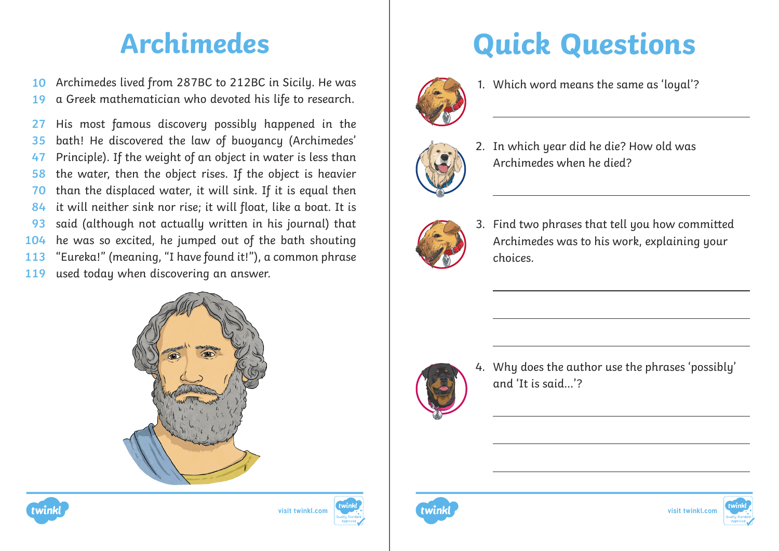Archimedes lived from 287BC to 212BC in Sicily. He was a Greek mathematician who devoted his life to research. **10 19**

His most famous discovery possibly happened in the bath! He discovered the law of buoyancy (Archimedes' Principle). If the weight of an object in water is less than the water, then the object rises. If the object is heavier than the displaced water, it will sink. If it is equal then it will neither sink nor rise; it will float, like a boat. It is said (although not actually written in his journal) that he was so excited, he jumped out of the bath shouting "Eureka!" (meaning, "I have found it!"), a common phrase used today when discovering an answer. **27 35 47 58 70 84 93 104 113 119**







## **Archimedes Quick Questions**



1. Which word means the same as 'loyal'?



2. In which year did he die? How old was Archimedes when he died?



3. Find two phrases that tell you how committed Archimedes was to his work, explaining your choices.



4. Why does the author use the phrases 'possibly' and 'It is said…'?